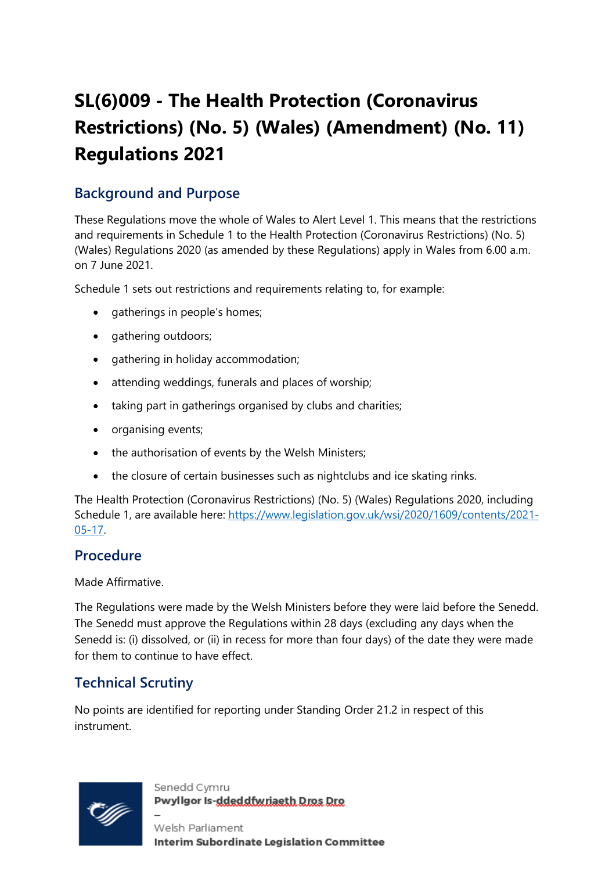# **SL(6)009 - The Health Protection (Coronavirus Restrictions) (No. 5) (Wales) (Amendment) (No. 11) Regulations 2021**

## **Background and Purpose**

These Regulations move the whole of Wales to Alert Level 1. This means that the restrictions and requirements in Schedule 1 to the Health Protection (Coronavirus Restrictions) (No. 5) (Wales) Regulations 2020 (as amended by these Regulations) apply in Wales from 6.00 a.m. on 7 June 2021.

Schedule 1 sets out restrictions and requirements relating to, for example:

- gatherings in people's homes;
- gathering outdoors;
- gathering in holiday accommodation;
- attending weddings, funerals and places of worship;
- taking part in gatherings organised by clubs and charities;
- organising events;
- the authorisation of events by the Welsh Ministers;
- the closure of certain businesses such as nightclubs and ice skating rinks.

The Health Protection (Coronavirus Restrictions) (No. 5) (Wales) Regulations 2020, including Schedule 1, are available here: [https://www.legislation.gov.uk/wsi/2020/1609/contents/2021-](https://www.legislation.gov.uk/wsi/2020/1609/contents/2021-05-17) [05-17.](https://www.legislation.gov.uk/wsi/2020/1609/contents/2021-05-17)

## **Procedure**

Made Affirmative.

The Regulations were made by the Welsh Ministers before they were laid before the Senedd. The Senedd must approve the Regulations within 28 days (excluding any days when the Senedd is: (i) dissolved, or (ii) in recess for more than four days) of the date they were made for them to continue to have effect.

## **Technical Scrutiny**

No points are identified for reporting under Standing Order 21.2 in respect of this instrument.



Senedd Cymru Pwyllgor Is-ddeddfwriaeth Dros Dro

Welsh Parliament **Interim Subordinate Legislation Committee**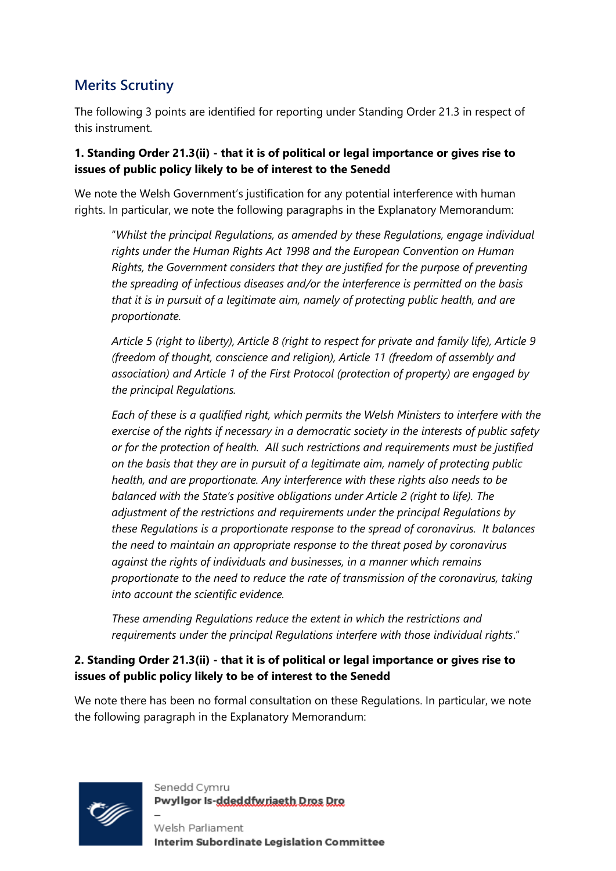## **Merits Scrutiny**

The following 3 points are identified for reporting under Standing Order 21.3 in respect of this instrument.

#### **1. Standing Order 21.3(ii) - that it is of political or legal importance or gives rise to issues of public policy likely to be of interest to the Senedd**

We note the Welsh Government's justification for any potential interference with human rights. In particular, we note the following paragraphs in the Explanatory Memorandum:

"*Whilst the principal Regulations, as amended by these Regulations, engage individual rights under the Human Rights Act 1998 and the European Convention on Human Rights, the Government considers that they are justified for the purpose of preventing the spreading of infectious diseases and/or the interference is permitted on the basis that it is in pursuit of a legitimate aim, namely of protecting public health, and are proportionate.* 

*Article 5 (right to liberty), Article 8 (right to respect for private and family life), Article 9 (freedom of thought, conscience and religion), Article 11 (freedom of assembly and association) and Article 1 of the First Protocol (protection of property) are engaged by the principal Regulations.* 

*Each of these is a qualified right, which permits the Welsh Ministers to interfere with the exercise of the rights if necessary in a democratic society in the interests of public safety or for the protection of health. All such restrictions and requirements must be justified on the basis that they are in pursuit of a legitimate aim, namely of protecting public health, and are proportionate. Any interference with these rights also needs to be balanced with the State's positive obligations under Article 2 (right to life). The adjustment of the restrictions and requirements under the principal Regulations by these Regulations is a proportionate response to the spread of coronavirus. It balances the need to maintain an appropriate response to the threat posed by coronavirus against the rights of individuals and businesses, in a manner which remains proportionate to the need to reduce the rate of transmission of the coronavirus, taking into account the scientific evidence.*

*These amending Regulations reduce the extent in which the restrictions and requirements under the principal Regulations interfere with those individual rights*."

#### **2. Standing Order 21.3(ii) - that it is of political or legal importance or gives rise to issues of public policy likely to be of interest to the Senedd**

We note there has been no formal consultation on these Regulations. In particular, we note the following paragraph in the Explanatory Memorandum:



Senedd Cymru Pwyllgor Is-ddeddfwriaeth Dros Dro

Welsh Parliament **Interim Subordinate Legislation Committee**